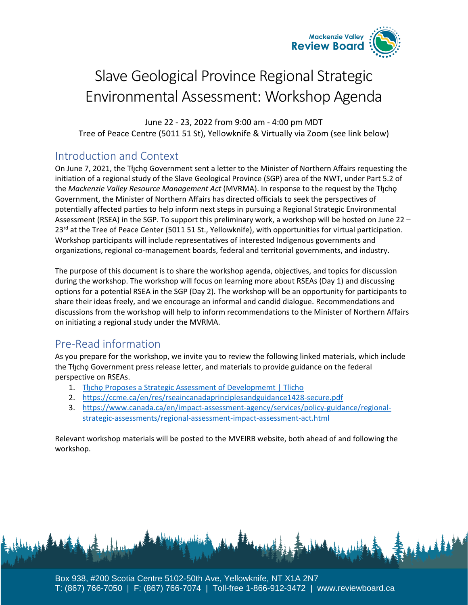

# Slave Geological Province Regional Strategic Environmental Assessment: Workshop Agenda

June 22 - 23, 2022 from 9:00 am - 4:00 pm MDT Tree of Peace Centre (5011 51 St), Yellowknife & Virtually via Zoom (see link below)

# Introduction and Context

On June 7, 2021, the Tłycho Government sent a letter to the Minister of Northern Affairs requesting the initiation of a regional study of the Slave Geological Province (SGP) area of the NWT, under Part 5.2 of the *Mackenzie Valley Resource Management Act* (MVRMA). In response to the request by the Tł<sub>J</sub>cho Government, the Minister of Northern Affairs has directed officials to seek the perspectives of potentially affected parties to help inform next steps in pursuing a Regional Strategic Environmental Assessment (RSEA) in the SGP. To support this preliminary work, a workshop will be hosted on June 22 – 23<sup>rd</sup> at the Tree of Peace Center (5011 51 St., Yellowknife), with opportunities for virtual participation. Workshop participants will include representatives of interested Indigenous governments and organizations, regional co-management boards, federal and territorial governments, and industry.

The purpose of this document is to share the workshop agenda, objectives, and topics for discussion during the workshop. The workshop will focus on learning more about RSEAs (Day 1) and discussing options for a potential RSEA in the SGP (Day 2). The workshop will be an opportunity for participants to share their ideas freely, and we encourage an informal and candid dialogue. Recommendations and discussions from the workshop will help to inform recommendations to the Minister of Northern Affairs on initiating a regional study under the MVRMA.

# Pre-Read information

As you prepare for the workshop, we invite you to review the following linked materials, which include the Tłycho Government press release letter, and materials to provide guidance on the federal perspective on RSEAs.

- 1. The [Proposes a Strategic Assessment of Developmemt | Tlicho](https://tlicho.ca/node/13229)
- 2. <https://ccme.ca/en/res/rseaincanadaprinciplesandguidance1428-secure.pdf>
- 3. [https://www.canada.ca/en/impact-assessment-agency/services/policy-guidance/regional](https://www.canada.ca/en/impact-assessment-agency/services/policy-guidance/regional-strategic-assessments/regional-assessment-impact-assessment-act.html)[strategic-assessments/regional-assessment-impact-assessment-act.html](https://www.canada.ca/en/impact-assessment-agency/services/policy-guidance/regional-strategic-assessments/regional-assessment-impact-assessment-act.html)

Relevant workshop materials will be posted to the MVEIRB website, both ahead of and following the workshop.

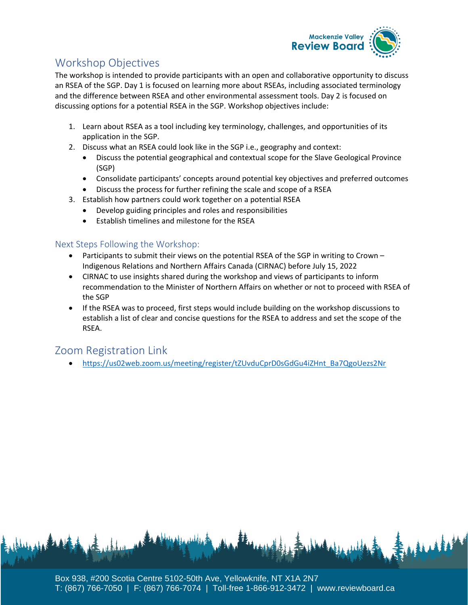

# Workshop Objectives

The workshop is intended to provide participants with an open and collaborative opportunity to discuss an RSEA of the SGP. Day 1 is focused on learning more about RSEAs, including associated terminology and the difference between RSEA and other environmental assessment tools. Day 2 is focused on discussing options for a potential RSEA in the SGP. Workshop objectives include:

- 1. Learn about RSEA as a tool including key terminology, challenges, and opportunities of its application in the SGP.
- 2. Discuss what an RSEA could look like in the SGP i.e., geography and context:
	- Discuss the potential geographical and contextual scope for the Slave Geological Province (SGP)
	- Consolidate participants' concepts around potential key objectives and preferred outcomes
	- Discuss the process for further refining the scale and scope of a RSEA
- 3. Establish how partners could work together on a potential RSEA
	- Develop guiding principles and roles and responsibilities
	- Establish timelines and milestone for the RSEA

#### Next Steps Following the Workshop:

- Participants to submit their views on the potential RSEA of the SGP in writing to Crown -Indigenous Relations and Northern Affairs Canada (CIRNAC) before July 15, 2022
- CIRNAC to use insights shared during the workshop and views of participants to inform recommendation to the Minister of Northern Affairs on whether or not to proceed with RSEA of the SGP
- If the RSEA was to proceed, first steps would include building on the workshop discussions to establish a list of clear and concise questions for the RSEA to address and set the scope of the RSEA.

## Zoom Registration Link

• [https://us02web.zoom.us/meeting/register/tZUvduCprD0sGdGu4iZHnt\\_Ba7QgoUezs2Nr](https://us02web.zoom.us/meeting/register/tZUvduCprD0sGdGu4iZHnt_Ba7QgoUezs2Nr)

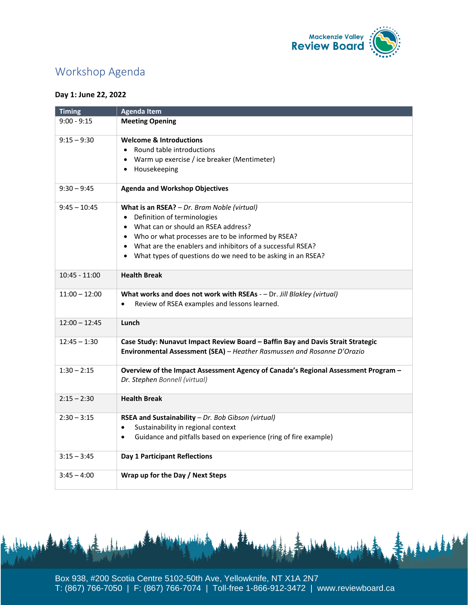

# Workshop Agenda

#### **Day 1: June 22, 2022**

| <b>Timing</b>   | <b>Agenda Item</b>                                                                                                  |
|-----------------|---------------------------------------------------------------------------------------------------------------------|
| $9:00 - 9:15$   | <b>Meeting Opening</b>                                                                                              |
| $9:15 - 9:30$   | <b>Welcome &amp; Introductions</b>                                                                                  |
|                 | • Round table introductions                                                                                         |
|                 | • Warm up exercise / ice breaker (Mentimeter)                                                                       |
|                 | Housekeeping<br>$\bullet$                                                                                           |
| $9:30 - 9:45$   | <b>Agenda and Workshop Objectives</b>                                                                               |
| $9:45 - 10:45$  | What is an RSEA? - Dr. Bram Noble (virtual)                                                                         |
|                 | Definition of terminologies<br>$\bullet$                                                                            |
|                 | What can or should an RSEA address?                                                                                 |
|                 | • Who or what processes are to be informed by RSEA?                                                                 |
|                 | What are the enablers and inhibitors of a successful RSEA?<br>$\bullet$                                             |
|                 | What types of questions do we need to be asking in an RSEA?<br>$\bullet$                                            |
| $10:45 - 11:00$ | <b>Health Break</b>                                                                                                 |
| $11:00 - 12:00$ | What works and does not work with RSEAs - - Dr. Jill Blakley (virtual)                                              |
|                 | Review of RSEA examples and lessons learned.<br>$\bullet$                                                           |
| $12:00 - 12:45$ | Lunch                                                                                                               |
| $12:45 - 1:30$  | Case Study: Nunavut Impact Review Board - Baffin Bay and Davis Strait Strategic                                     |
|                 | Environmental Assessment (SEA) - Heather Rasmussen and Rosanne D'Orazio                                             |
| $1:30 - 2:15$   | Overview of the Impact Assessment Agency of Canada's Regional Assessment Program -<br>Dr. Stephen Bonnell (virtual) |
| $2:15 - 2:30$   | <b>Health Break</b>                                                                                                 |
| $2:30 - 3:15$   | RSEA and Sustainability - Dr. Bob Gibson (virtual)                                                                  |
|                 | Sustainability in regional context<br>$\bullet$                                                                     |
|                 | Guidance and pitfalls based on experience (ring of fire example)<br>$\bullet$                                       |
| $3:15 - 3:45$   | Day 1 Participant Reflections                                                                                       |
| $3:45 - 4:00$   | Wrap up for the Day / Next Steps                                                                                    |

Box 938, #200 Scotia Centre 5102-50th Ave, Yellowknife, NT X1A 2N7 T: (867) 766-7050 | F: (867) 766-7074 | Toll-free 1-866-912-3472 | www.reviewboard.ca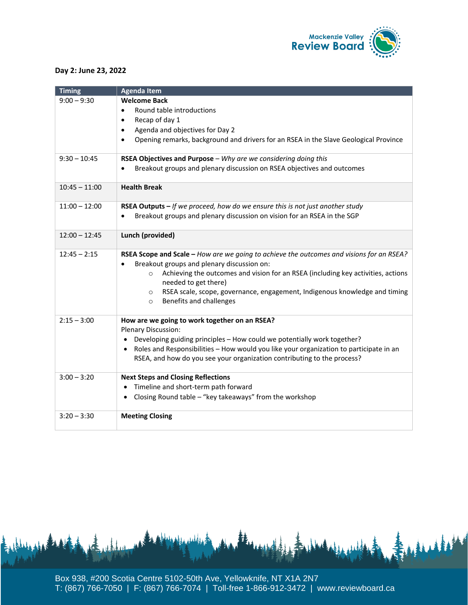

#### **Day 2: June 23, 2022**

| <b>Timing</b>   | <b>Agenda Item</b>                                                                                                  |
|-----------------|---------------------------------------------------------------------------------------------------------------------|
| $9:00 - 9:30$   | <b>Welcome Back</b>                                                                                                 |
|                 | Round table introductions<br>$\bullet$                                                                              |
|                 | Recap of day 1<br>$\bullet$                                                                                         |
|                 | Agenda and objectives for Day 2<br>$\bullet$                                                                        |
|                 | Opening remarks, background and drivers for an RSEA in the Slave Geological Province<br>$\bullet$                   |
| $9:30 - 10:45$  | RSEA Objectives and Purpose - Why are we considering doing this                                                     |
|                 | Breakout groups and plenary discussion on RSEA objectives and outcomes<br>$\bullet$                                 |
| $10:45 - 11:00$ | <b>Health Break</b>                                                                                                 |
| $11:00 - 12:00$ | RSEA Outputs - If we proceed, how do we ensure this is not just another study                                       |
|                 | Breakout groups and plenary discussion on vision for an RSEA in the SGP<br>$\bullet$                                |
| $12:00 - 12:45$ | Lunch (provided)                                                                                                    |
| $12:45 - 2:15$  | RSEA Scope and Scale - How are we going to achieve the outcomes and visions for an RSEA?                            |
|                 | Breakout groups and plenary discussion on:<br>$\bullet$                                                             |
|                 | Achieving the outcomes and vision for an RSEA (including key activities, actions<br>$\circ$<br>needed to get there) |
|                 | RSEA scale, scope, governance, engagement, Indigenous knowledge and timing<br>$\circ$                               |
|                 | Benefits and challenges<br>$\circ$                                                                                  |
| $2:15 - 3:00$   | How are we going to work together on an RSEA?<br>Plenary Discussion:                                                |
|                 | Developing guiding principles - How could we potentially work together?                                             |
|                 | Roles and Responsibilities - How would you like your organization to participate in an<br>$\bullet$                 |
|                 | RSEA, and how do you see your organization contributing to the process?                                             |
| $3:00 - 3:20$   | <b>Next Steps and Closing Reflections</b>                                                                           |
|                 | Timeline and short-term path forward<br>$\bullet$                                                                   |
|                 | Closing Round table - "key takeaways" from the workshop                                                             |
| $3:20 - 3:30$   | <b>Meeting Closing</b>                                                                                              |

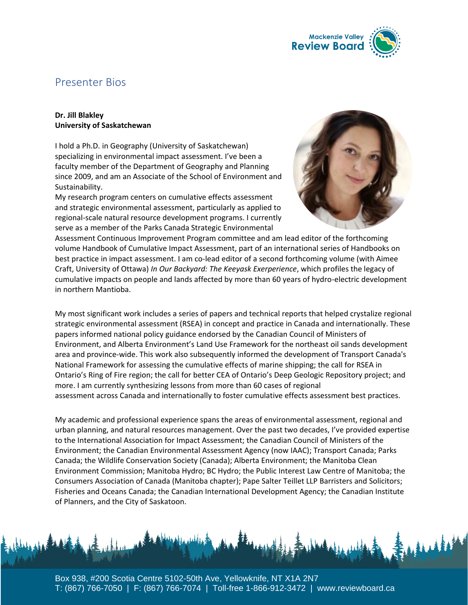

## Presenter Bios

#### **Dr. Jill Blakley University of Saskatchewan**

I hold a Ph.D. in Geography (University of Saskatchewan) specializing in environmental impact assessment. I've been a faculty member of the Department of Geography and Planning since 2009, and am an Associate of the School of Environment and Sustainability.

My research program centers on cumulative effects assessment and strategic environmental assessment, particularly as applied to regional-scale natural resource development programs. I currently serve as a member of the Parks Canada Strategic Environmental



Assessment Continuous Improvement Program committee and am lead editor of the forthcoming volume Handbook of Cumulative Impact Assessment, part of an international series of Handbooks on best practice in impact assessment. I am co-lead editor of a second forthcoming volume (with Aimee Craft, University of Ottawa) *In Our Backyard: The Keeyask Exerperience*, which profiles the legacy of cumulative impacts on people and lands affected by more than 60 years of hydro-electric development in northern Mantioba.

My most significant work includes a series of papers and technical reports that helped crystalize regional strategic environmental assessment (RSEA) in concept and practice in Canada and internationally. These papers informed national policy guidance endorsed by the Canadian Council of Ministers of Environment, and Alberta Environment's Land Use Framework for the northeast oil sands development area and province-wide. This work also subsequently informed the development of Transport Canada's National Framework for assessing the cumulative effects of marine shipping; the call for RSEA in Ontario's Ring of Fire region; the call for better CEA of Ontario's Deep Geologic Repository project; and more. I am currently synthesizing lessons from more than 60 cases of regional assessment across Canada and internationally to foster cumulative effects assessment best practices.

My academic and professional experience spans the areas of environmental assessment, regional and urban planning, and natural resources management. Over the past two decades, I've provided expertise to the International Association for Impact Assessment; the Canadian Council of Ministers of the Environment; the Canadian Environmental Assessment Agency (now IAAC); Transport Canada; Parks Canada; the Wildlife Conservation Society (Canada); Alberta Environment; the Manitoba Clean Environment Commission; Manitoba Hydro; BC Hydro; the Public Interest Law Centre of Manitoba; the Consumers Association of Canada (Manitoba chapter); Pape Salter Teillet LLP Barristers and Solicitors; Fisheries and Oceans Canada; the Canadian International Development Agency; the Canadian Institute of Planners, and the City of Saskatoon.

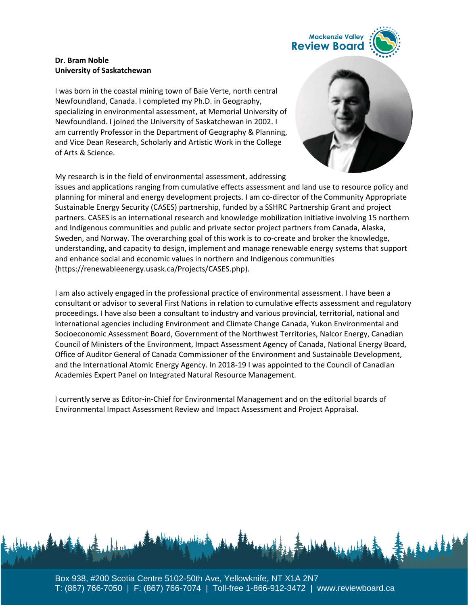

#### **Dr. Bram Noble University of Saskatchewan**

I was born in the coastal mining town of Baie Verte, north central Newfoundland, Canada. I completed my Ph.D. in Geography, specializing in environmental assessment, at Memorial University of Newfoundland. I joined the University of Saskatchewan in 2002. I am currently Professor in the Department of Geography & Planning, and Vice Dean Research, Scholarly and Artistic Work in the College of Arts & Science.

My research is in the field of environmental assessment, addressing



issues and applications ranging from cumulative effects assessment and land use to resource policy and planning for mineral and energy development projects. I am co-director of the Community Appropriate Sustainable Energy Security (CASES) partnership, funded by a SSHRC Partnership Grant and project partners. CASES is an international research and knowledge mobilization initiative involving 15 northern and Indigenous communities and public and private sector project partners from Canada, Alaska, Sweden, and Norway. The overarching goal of this work is to co-create and broker the knowledge, understanding, and capacity to design, implement and manage renewable energy systems that support and enhance social and economic values in northern and Indigenous communities [\(https://renewableenergy.usask.ca/Projects/CASES.php\)](https://renewableenergy.usask.ca/Projects/CASES.php).

I am also actively engaged in the professional practice of environmental assessment. I have been a consultant or advisor to several First Nations in relation to cumulative effects assessment and regulatory proceedings. I have also been a consultant to industry and various provincial, territorial, national and international agencies including Environment and Climate Change Canada, Yukon Environmental and Socioeconomic Assessment Board, Government of the Northwest Territories, Nalcor Energy, Canadian Council of Ministers of the Environment, Impact Assessment Agency of Canada, National Energy Board, Office of Auditor General of Canada Commissioner of the Environment and Sustainable Development, and the International Atomic Energy Agency. In 2018-19 I was appointed to the Council of Canadian Academies Expert Panel on Integrated Natural Resource Management.

I currently serve as Editor-in-Chief for Environmental Management and on the editorial boards of Environmental Impact Assessment Review and Impact Assessment and Project Appraisal.

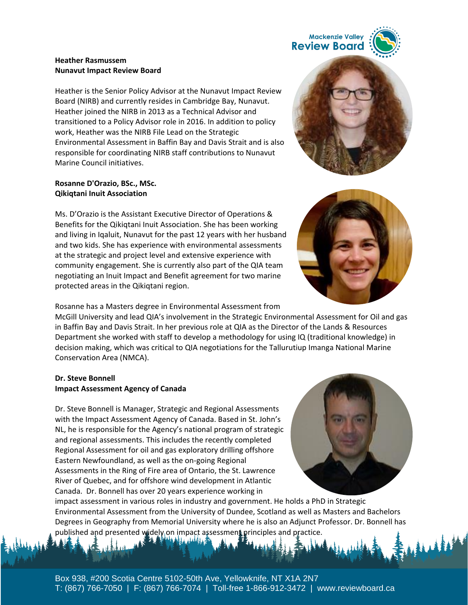#### **Heather Rasmussem Nunavut Impact Review Board**

Heather is the Senior Policy Advisor at the Nunavut Impact Review Board (NIRB) and currently resides in Cambridge Bay, Nunavut. Heather joined the NIRB in 2013 as a Technical Advisor and transitioned to a Policy Advisor role in 2016. In addition to policy work, Heather was the NIRB File Lead on the Strategic Environmental Assessment in Baffin Bay and Davis Strait and is also responsible for coordinating NIRB staff contributions to Nunavut Marine Council initiatives.

#### **Rosanne D'Orazio, BSc., MSc. Qikiqtani Inuit Association**

Ms. D'Orazio is the Assistant Executive Director of Operations & Benefits for the Qikiqtani Inuit Association. She has been working and living in Iqaluit, Nunavut for the past 12 years with her husband and two kids. She has experience with environmental assessments at the strategic and project level and extensive experience with community engagement. She is currently also part of the QIA team negotiating an Inuit Impact and Benefit agreement for two marine protected areas in the Qikiqtani region.

Rosanne has a Masters degree in Environmental Assessment from

McGill University and lead QIA's involvement in the Strategic Environmental Assessment for Oil and gas in Baffin Bay and Davis Strait. In her previous role at QIA as the Director of the Lands & Resources Department she worked with staff to develop a methodology for using IQ (traditional knowledge) in decision making, which was critical to QIA negotiations for the Tallurutiup Imanga National Marine Conservation Area (NMCA).

#### **Dr. Steve Bonnell Impact Assessment Agency of Canada**

Dr. Steve Bonnell is Manager, Strategic and Regional Assessments with the Impact Assessment Agency of Canada. Based in St. John's NL, he is responsible for the Agency's national program of strategic and regional assessments. This includes the recently completed Regional Assessment for oil and gas exploratory drilling offshore Eastern Newfoundland, as well as the on-going Regional Assessments in the Ring of Fire area of Ontario, the St. Lawrence River of Quebec, and for offshore wind development in Atlantic Canada. Dr. Bonnell has over 20 years experience working in

impact assessment in various roles in industry and government. He holds a PhD in Strategic Environmental Assessment from the University of Dundee, Scotland as well as Masters and Bachelors Degrees in Geography from Memorial University where he is also an Adjunct Professor. Dr. Bonnell has published and presented widely on impact assessment principles and practice.







**Mackenzie Valley**